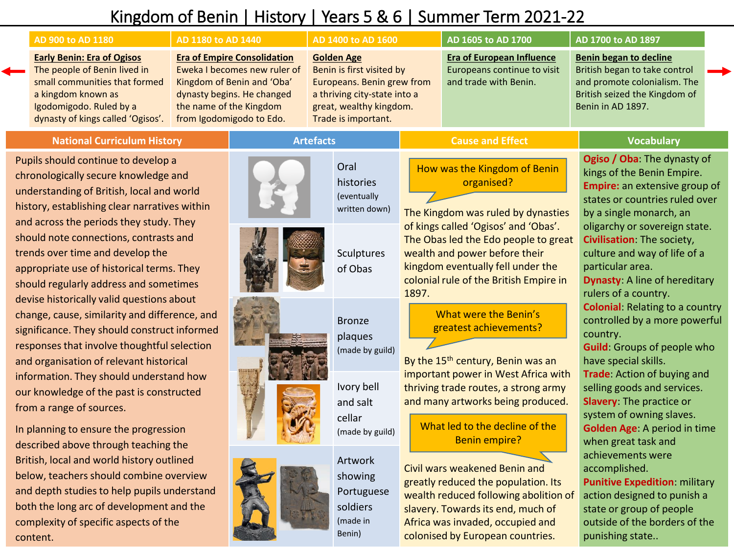# Kingdom of Benin | History | Years 5 & 6 | Summer Term 2021-22

|                                                                                                                         | AD 900 to AD 1180                                                                                                                                                                        | AD 1180 to AD 1440                                                                                                                                                                    |  | AD 1400 to AD 1600                                                                                                                                             |                   |  | AD 1605 to AD 1700                                                                       |  | AD 1700 to AD 1897                                                                                                                            |  |
|-------------------------------------------------------------------------------------------------------------------------|------------------------------------------------------------------------------------------------------------------------------------------------------------------------------------------|---------------------------------------------------------------------------------------------------------------------------------------------------------------------------------------|--|----------------------------------------------------------------------------------------------------------------------------------------------------------------|-------------------|--|------------------------------------------------------------------------------------------|--|-----------------------------------------------------------------------------------------------------------------------------------------------|--|
|                                                                                                                         | <b>Early Benin: Era of Ogisos</b><br>The people of Benin lived in<br>small communities that formed<br>a kingdom known as<br>Igodomigodo. Ruled by a<br>dynasty of kings called 'Ogisos'. | <b>Era of Empire Consolidation</b><br>Eweka I becomes new ruler of<br>Kingdom of Benin and 'Oba'<br>dynasty begins. He changed<br>the name of the Kingdom<br>from Igodomigodo to Edo. |  | <b>Golden Age</b><br>Benin is first visited by<br>Europeans. Benin grew from<br>a thriving city-state into a<br>great, wealthy kingdom.<br>Trade is important. |                   |  | <b>Era of European Influence</b><br>Europeans continue to visit<br>and trade with Benin. |  | Benin began to decline<br>British began to take control<br>and promote colonialism. The<br>British seized the Kingdom of<br>Benin in AD 1897. |  |
| <b>National Curriculum History</b>                                                                                      |                                                                                                                                                                                          |                                                                                                                                                                                       |  | <b>Artefacts</b>                                                                                                                                               |                   |  | <b>Cause and Effect</b>                                                                  |  | Vocabulary                                                                                                                                    |  |
| Pupils should continue to develop a<br>chronologically secure knowledge and<br>understanding of British Josel and world |                                                                                                                                                                                          |                                                                                                                                                                                       |  |                                                                                                                                                                | Oral<br>histories |  | How was the Kingdom of Benin<br>organised?                                               |  | Ogiso / Oba: The dynasty of<br>kings of the Benin Empire.<br>Empire: an extensive group of                                                    |  |

understanding of British, local and world history, establishing clear narratives within and across the periods they study. They should note connections, contrasts and trends over time and develop the appropriate use of historical terms. They should regularly address and sometimes devise historically valid questions about change, cause, similarity and difference, and significance. They should construct informed responses that involve thoughtful selection and organisation of relevant historical information. They should understand how our knowledge of the past is constructed from a range of sources.

In planning to ensure the progression described above through teaching the British, local and world history outlined below, teachers should combine overview and depth studies to help pupils understand both the long arc of development and the complexity of specific aspects of the content.



(made in Benin)

#### written down) The Kingdom was ruled by dynasties of kings called 'Ogisos' and 'Obas'. The Obas led the Edo people to great wealth and power before their kingdom eventually fell under the colonial rule of the British Empire in 1897. By the 15<sup>th</sup> century, Benin was an important power in West Africa with thriving trade routes, a strong army and many artworks being produced. Civil wars weakened Benin and greatly reduced the population. Its wealth reduced following abolition of slavery. Towards its end, much of states or countries ruled over by a single monarch, an oligarchy or sovereign state. **Civilisation**: The society, culture and way of life of a particular area. **Dynasty**: A line of hereditary rulers of a country. **Colonial**: Relating to a country controlled by a more powerful country. **Guild**: Groups of people who have special skills. **Trade**: Action of buying and selling goods and services. **Slavery**: The practice or system of owning slaves. **Golden Age**: A period in time Portuguese soldiers What led to the decline of the Benin empire? What were the Benin's greatest achievements?

Africa was invaded, occupied and colonised by European countries.

when great task and achievements were accomplished. **Punitive Expedition**: military action designed to punish a state or group of people outside of the borders of the punishing state..